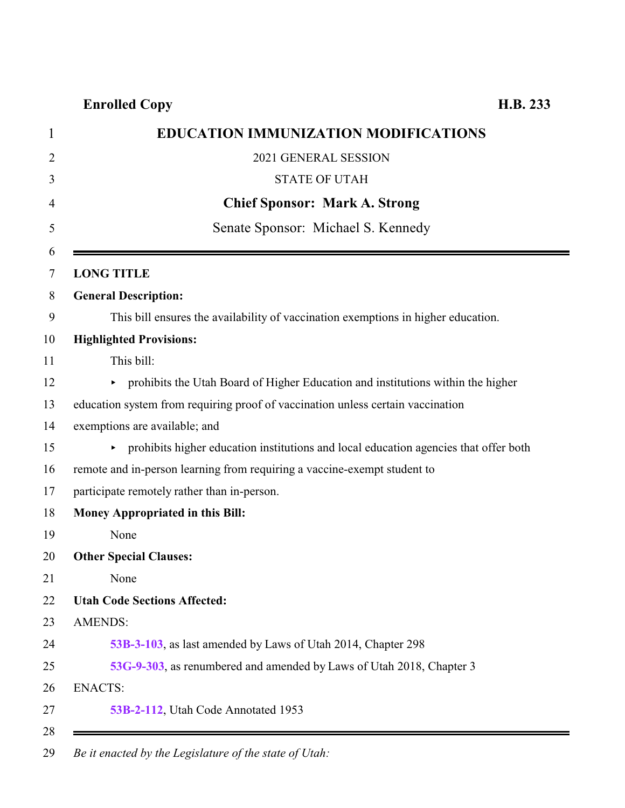**Enrolled Copy H.B. 233**

| <b>EDUCATION IMMUNIZATION MODIFICATIONS</b>                                          |
|--------------------------------------------------------------------------------------|
| 2021 GENERAL SESSION                                                                 |
| <b>STATE OF UTAH</b>                                                                 |
| <b>Chief Sponsor: Mark A. Strong</b>                                                 |
| Senate Sponsor: Michael S. Kennedy                                                   |
| <b>LONG TITLE</b>                                                                    |
| <b>General Description:</b>                                                          |
| This bill ensures the availability of vaccination exemptions in higher education.    |
| <b>Highlighted Provisions:</b>                                                       |
| This bill:                                                                           |
| • prohibits the Utah Board of Higher Education and institutions within the higher    |
| education system from requiring proof of vaccination unless certain vaccination      |
| exemptions are available; and                                                        |
| prohibits higher education institutions and local education agencies that offer both |
| remote and in-person learning from requiring a vaccine-exempt student to             |
| participate remotely rather than in-person.                                          |
| Money Appropriated in this Bill:                                                     |
| None                                                                                 |
| <b>Other Special Clauses:</b>                                                        |
| None                                                                                 |
| <b>Utah Code Sections Affected:</b>                                                  |
| <b>AMENDS:</b>                                                                       |
| 53B-3-103, as last amended by Laws of Utah 2014, Chapter 298                         |
| 53G-9-303, as renumbered and amended by Laws of Utah 2018, Chapter 3                 |
| <b>ENACTS:</b>                                                                       |
| 53B-2-112, Utah Code Annotated 1953                                                  |

*Be it enacted by the Legislature of the state of Utah:*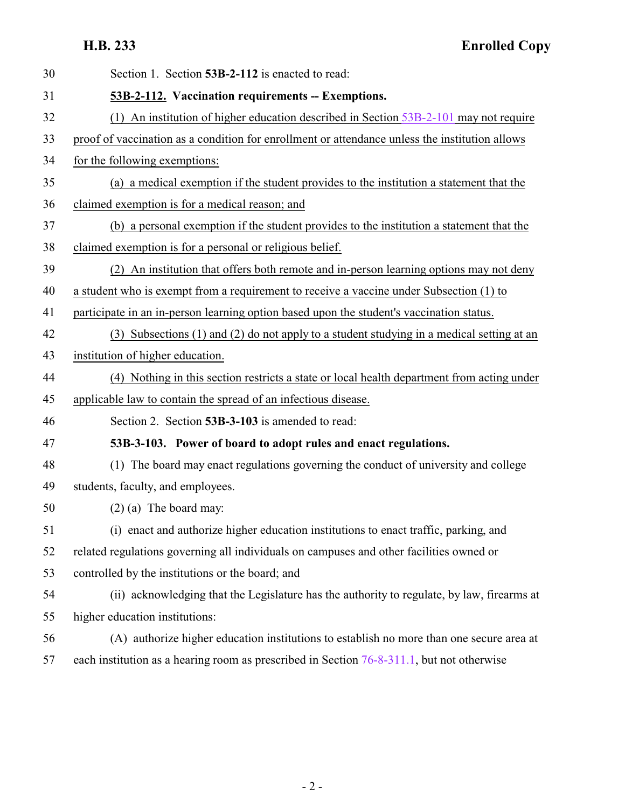<span id="page-1-1"></span>**H.B. 233 Enrolled Copy**

<span id="page-1-0"></span>

| 30 | Section 1. Section 53B-2-112 is enacted to read:                                               |
|----|------------------------------------------------------------------------------------------------|
| 31 | 53B-2-112. Vaccination requirements -- Exemptions.                                             |
| 32 | (1) An institution of higher education described in Section 53B-2-101 may not require          |
| 33 | proof of vaccination as a condition for enrollment or attendance unless the institution allows |
| 34 | for the following exemptions:                                                                  |
| 35 | (a) a medical exemption if the student provides to the institution a statement that the        |
| 36 | claimed exemption is for a medical reason; and                                                 |
| 37 | (b) a personal exemption if the student provides to the institution a statement that the       |
| 38 | claimed exemption is for a personal or religious belief.                                       |
| 39 | An institution that offers both remote and in-person learning options may not deny<br>(2)      |
| 40 | a student who is exempt from a requirement to receive a vaccine under Subsection (1) to        |
| 41 | participate in an in-person learning option based upon the student's vaccination status.       |
| 42 | (3) Subsections (1) and (2) do not apply to a student studying in a medical setting at an      |
| 43 | institution of higher education.                                                               |
| 44 | (4) Nothing in this section restricts a state or local health department from acting under     |
| 45 | applicable law to contain the spread of an infectious disease.                                 |
| 46 | Section 2. Section 53B-3-103 is amended to read:                                               |
| 47 | 53B-3-103. Power of board to adopt rules and enact regulations.                                |
| 48 | (1) The board may enact regulations governing the conduct of university and college            |
| 49 | students, faculty, and employees.                                                              |
| 50 | $(2)$ (a) The board may:                                                                       |
| 51 | (i) enact and authorize higher education institutions to enact traffic, parking, and           |
| 52 | related regulations governing all individuals on campuses and other facilities owned or        |
| 53 | controlled by the institutions or the board; and                                               |
| 54 | (ii) acknowledging that the Legislature has the authority to regulate, by law, firearms at     |
| 55 | higher education institutions:                                                                 |
| 56 | (A) authorize higher education institutions to establish no more than one secure area at       |
| 57 | each institution as a hearing room as prescribed in Section 76-8-311.1, but not otherwise      |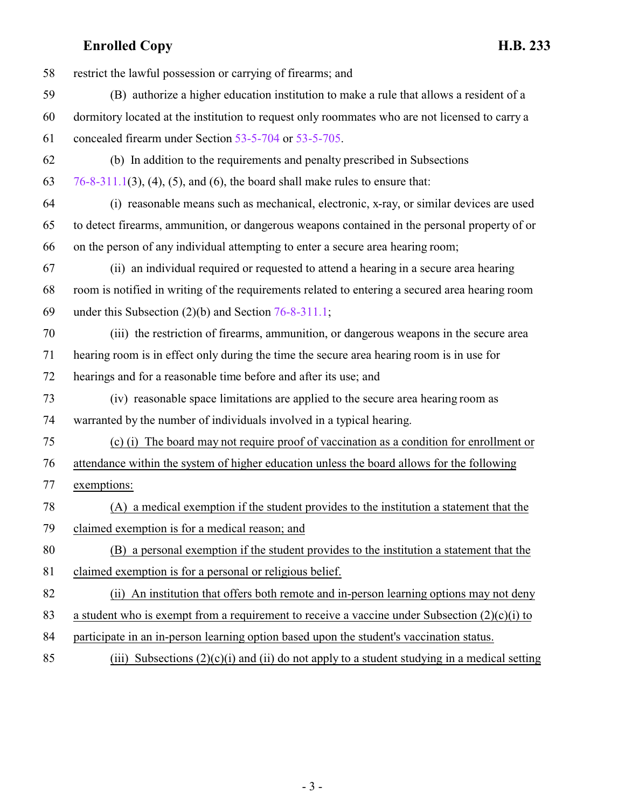## **Enrolled Copy H.B. 233**

| 58 | restrict the lawful possession or carrying of firearms; and                                     |
|----|-------------------------------------------------------------------------------------------------|
| 59 | (B) authorize a higher education institution to make a rule that allows a resident of a         |
| 60 | dormitory located at the institution to request only roommates who are not licensed to carry a  |
| 61 | concealed firearm under Section 53-5-704 or 53-5-705.                                           |
| 62 | (b) In addition to the requirements and penalty prescribed in Subsections                       |
| 63 | $76-8-311.1(3)$ , (4), (5), and (6), the board shall make rules to ensure that:                 |
| 64 | (i) reasonable means such as mechanical, electronic, x-ray, or similar devices are used         |
| 65 | to detect firearms, ammunition, or dangerous weapons contained in the personal property of or   |
| 66 | on the person of any individual attempting to enter a secure area hearing room;                 |
| 67 | (ii) an individual required or requested to attend a hearing in a secure area hearing           |
| 68 | room is notified in writing of the requirements related to entering a secured area hearing room |
| 69 | under this Subsection $(2)(b)$ and Section 76-8-311.1;                                          |
| 70 | (iii) the restriction of firearms, ammunition, or dangerous weapons in the secure area          |
| 71 | hearing room is in effect only during the time the secure area hearing room is in use for       |
| 72 | hearings and for a reasonable time before and after its use; and                                |
| 73 | (iv) reasonable space limitations are applied to the secure area hearing room as                |
| 74 | warranted by the number of individuals involved in a typical hearing.                           |
| 75 | (c) (i) The board may not require proof of vaccination as a condition for enrollment or         |
| 76 | attendance within the system of higher education unless the board allows for the following      |
| 77 | exemptions:                                                                                     |
| 78 | (A) a medical exemption if the student provides to the institution a statement that the         |
| 79 | claimed exemption is for a medical reason; and                                                  |
| 80 | (B) a personal exemption if the student provides to the institution a statement that the        |
| 81 | claimed exemption is for a personal or religious belief.                                        |
| 82 | (ii) An institution that offers both remote and in-person learning options may not deny         |
| 83 | a student who is exempt from a requirement to receive a vaccine under Subsection $(2)(c)(i)$ to |
| 84 | participate in an in-person learning option based upon the student's vaccination status.        |
| 85 | (iii) Subsections $(2)(c)(i)$ and (ii) do not apply to a student studying in a medical setting  |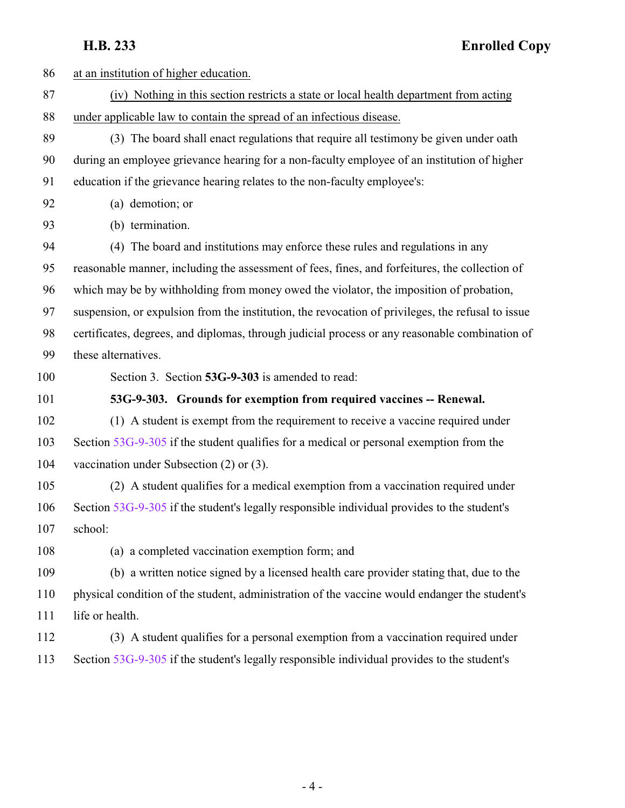**H.B. 233 Enrolled Copy**

<span id="page-3-0"></span>

| 86  | at an institution of higher education.                                                            |
|-----|---------------------------------------------------------------------------------------------------|
| 87  | (iv) Nothing in this section restricts a state or local health department from acting             |
| 88  | under applicable law to contain the spread of an infectious disease.                              |
| 89  | (3) The board shall enact regulations that require all testimony be given under oath              |
| 90  | during an employee grievance hearing for a non-faculty employee of an institution of higher       |
| 91  | education if the grievance hearing relates to the non-faculty employee's:                         |
| 92  | (a) demotion; or                                                                                  |
| 93  | (b) termination.                                                                                  |
| 94  | (4) The board and institutions may enforce these rules and regulations in any                     |
| 95  | reasonable manner, including the assessment of fees, fines, and forfeitures, the collection of    |
| 96  | which may be by withholding from money owed the violator, the imposition of probation,            |
| 97  | suspension, or expulsion from the institution, the revocation of privileges, the refusal to issue |
| 98  | certificates, degrees, and diplomas, through judicial process or any reasonable combination of    |
| 99  | these alternatives.                                                                               |
| 100 | Section 3. Section 53G-9-303 is amended to read:                                                  |
| 101 | 53G-9-303. Grounds for exemption from required vaccines -- Renewal.                               |
| 102 | (1) A student is exempt from the requirement to receive a vaccine required under                  |
| 103 | Section 53G-9-305 if the student qualifies for a medical or personal exemption from the           |
| 104 | vaccination under Subsection $(2)$ or $(3)$ .                                                     |
| 105 | (2) A student qualifies for a medical exemption from a vaccination required under                 |
| 106 | Section 53G-9-305 if the student's legally responsible individual provides to the student's       |
| 107 | school:                                                                                           |
| 108 | (a) a completed vaccination exemption form; and                                                   |
| 109 | (b) a written notice signed by a licensed health care provider stating that, due to the           |
| 110 | physical condition of the student, administration of the vaccine would endanger the student's     |
| 111 | life or health.                                                                                   |
| 112 | (3) A student qualifies for a personal exemption from a vaccination required under                |
| 113 | Section 53G-9-305 if the student's legally responsible individual provides to the student's       |
|     |                                                                                                   |